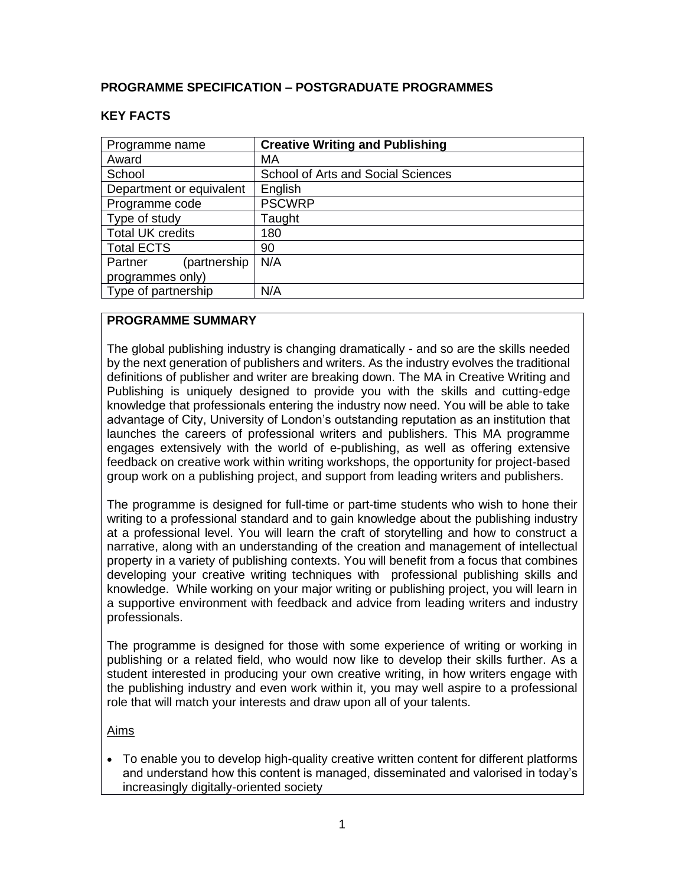## **PROGRAMME SPECIFICATION – POSTGRADUATE PROGRAMMES**

| Programme name           | <b>Creative Writing and Publishing</b>    |  |  |  |  |
|--------------------------|-------------------------------------------|--|--|--|--|
| Award                    | MA                                        |  |  |  |  |
| School                   | <b>School of Arts and Social Sciences</b> |  |  |  |  |
| Department or equivalent | English                                   |  |  |  |  |
| Programme code           | <b>PSCWRP</b>                             |  |  |  |  |
| Type of study            | Taught                                    |  |  |  |  |
| <b>Total UK credits</b>  | 180                                       |  |  |  |  |
| <b>Total ECTS</b>        | 90                                        |  |  |  |  |
| (partnership<br>Partner  | N/A                                       |  |  |  |  |
| programmes only)         |                                           |  |  |  |  |
| Type of partnership      | N/A                                       |  |  |  |  |

## **KEY FACTS**

## **PROGRAMME SUMMARY**

The global publishing industry is changing dramatically - and so are the skills needed by the next generation of publishers and writers. As the industry evolves the traditional definitions of publisher and writer are breaking down. The MA in Creative Writing and Publishing is uniquely designed to provide you with the skills and cutting-edge knowledge that professionals entering the industry now need. You will be able to take advantage of City, University of London's outstanding reputation as an institution that launches the careers of professional writers and publishers. This MA programme engages extensively with the world of e-publishing, as well as offering extensive feedback on creative work within writing workshops, the opportunity for project-based group work on a publishing project, and support from leading writers and publishers.

The programme is designed for full-time or part-time students who wish to hone their writing to a professional standard and to gain knowledge about the publishing industry at a professional level. You will learn the craft of storytelling and how to construct a narrative, along with an understanding of the creation and management of intellectual property in a variety of publishing contexts. You will benefit from a focus that combines developing your creative writing techniques with professional publishing skills and knowledge. While working on your major writing or publishing project, you will learn in a supportive environment with feedback and advice from leading writers and industry professionals.

The programme is designed for those with some experience of writing or working in publishing or a related field, who would now like to develop their skills further. As a student interested in producing your own creative writing, in how writers engage with the publishing industry and even work within it, you may well aspire to a professional role that will match your interests and draw upon all of your talents.

Aims

• To enable you to develop high-quality creative written content for different platforms and understand how this content is managed, disseminated and valorised in today's increasingly digitally-oriented society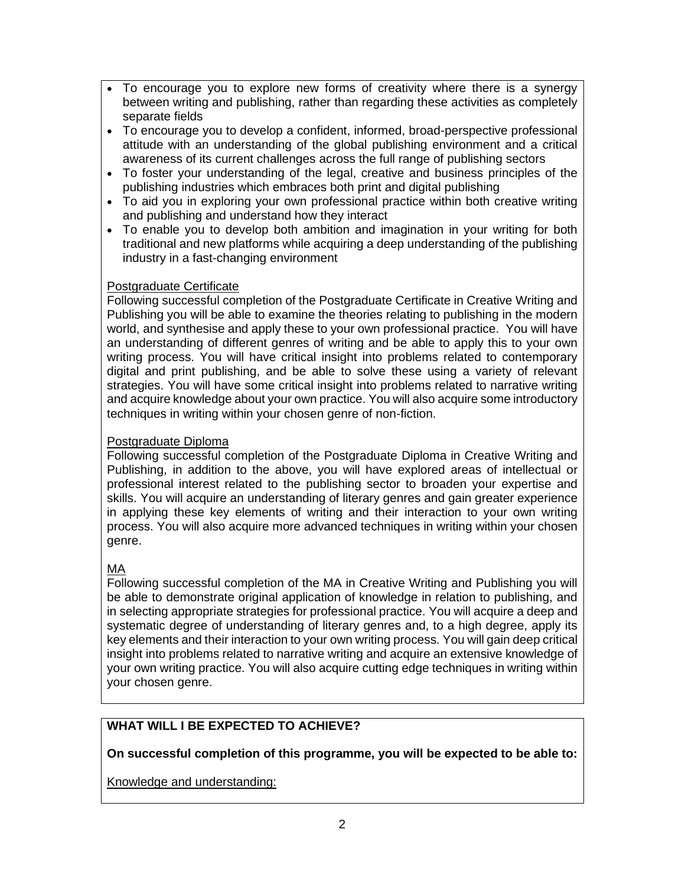- To encourage you to explore new forms of creativity where there is a synergy between writing and publishing, rather than regarding these activities as completely separate fields
- To encourage you to develop a confident, informed, broad-perspective professional attitude with an understanding of the global publishing environment and a critical awareness of its current challenges across the full range of publishing sectors
- To foster your understanding of the legal, creative and business principles of the publishing industries which embraces both print and digital publishing
- To aid you in exploring your own professional practice within both creative writing and publishing and understand how they interact
- To enable you to develop both ambition and imagination in your writing for both traditional and new platforms while acquiring a deep understanding of the publishing industry in a fast-changing environment

## Postgraduate Certificate

Following successful completion of the Postgraduate Certificate in Creative Writing and Publishing you will be able to examine the theories relating to publishing in the modern world, and synthesise and apply these to your own professional practice. You will have an understanding of different genres of writing and be able to apply this to your own writing process. You will have critical insight into problems related to contemporary digital and print publishing, and be able to solve these using a variety of relevant strategies. You will have some critical insight into problems related to narrative writing and acquire knowledge about your own practice. You will also acquire some introductory techniques in writing within your chosen genre of non-fiction.

## Postgraduate Diploma

Following successful completion of the Postgraduate Diploma in Creative Writing and Publishing, in addition to the above, you will have explored areas of intellectual or professional interest related to the publishing sector to broaden your expertise and skills. You will acquire an understanding of literary genres and gain greater experience in applying these key elements of writing and their interaction to your own writing process. You will also acquire more advanced techniques in writing within your chosen genre.

# MA

Following successful completion of the MA in Creative Writing and Publishing you will be able to demonstrate original application of knowledge in relation to publishing, and in selecting appropriate strategies for professional practice. You will acquire a deep and systematic degree of understanding of literary genres and, to a high degree, apply its key elements and their interaction to your own writing process. You will gain deep critical insight into problems related to narrative writing and acquire an extensive knowledge of your own writing practice. You will also acquire cutting edge techniques in writing within your chosen genre.

# **WHAT WILL I BE EXPECTED TO ACHIEVE?**

# **On successful completion of this programme, you will be expected to be able to:**

Knowledge and understanding: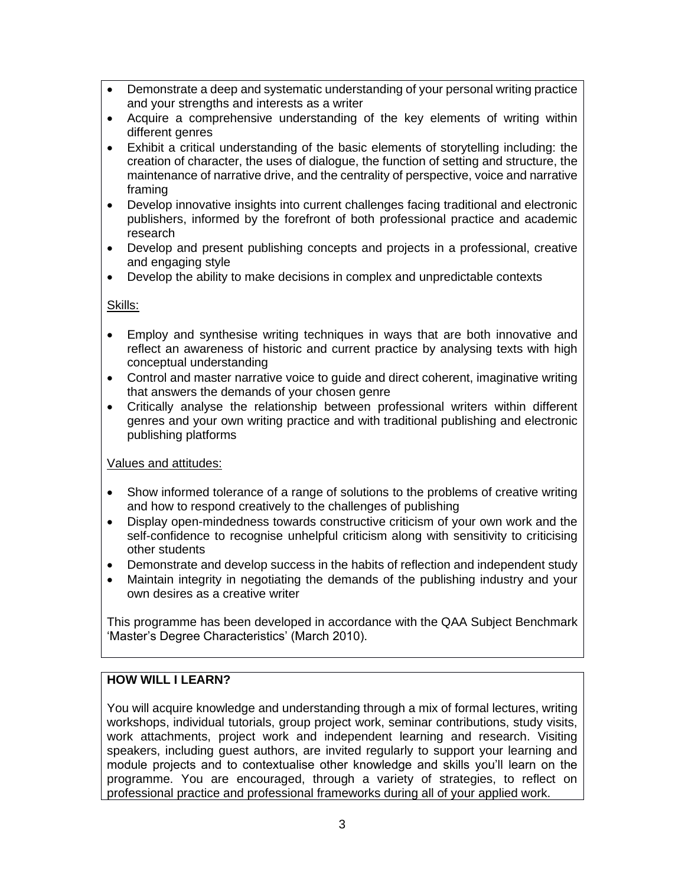- Demonstrate a deep and systematic understanding of your personal writing practice and your strengths and interests as a writer
- Acquire a comprehensive understanding of the key elements of writing within different genres
- Exhibit a critical understanding of the basic elements of storytelling including: the creation of character, the uses of dialogue, the function of setting and structure, the maintenance of narrative drive, and the centrality of perspective, voice and narrative framing
- Develop innovative insights into current challenges facing traditional and electronic publishers, informed by the forefront of both professional practice and academic research
- Develop and present publishing concepts and projects in a professional, creative and engaging style
- Develop the ability to make decisions in complex and unpredictable contexts

## Skills:

- Employ and synthesise writing techniques in ways that are both innovative and reflect an awareness of historic and current practice by analysing texts with high conceptual understanding
- Control and master narrative voice to guide and direct coherent, imaginative writing that answers the demands of your chosen genre
- Critically analyse the relationship between professional writers within different genres and your own writing practice and with traditional publishing and electronic publishing platforms

## Values and attitudes:

- Show informed tolerance of a range of solutions to the problems of creative writing and how to respond creatively to the challenges of publishing
- Display open-mindedness towards constructive criticism of your own work and the self-confidence to recognise unhelpful criticism along with sensitivity to criticising other students
- Demonstrate and develop success in the habits of reflection and independent study
- Maintain integrity in negotiating the demands of the publishing industry and your own desires as a creative writer

This programme has been developed in accordance with the QAA Subject Benchmark 'Master's Degree Characteristics' (March 2010).

# **HOW WILL I LEARN?**

You will acquire knowledge and understanding through a mix of formal lectures, writing workshops, individual tutorials, group project work, seminar contributions, study visits, work attachments, project work and independent learning and research. Visiting speakers, including guest authors, are invited regularly to support your learning and module projects and to contextualise other knowledge and skills you'll learn on the programme. You are encouraged, through a variety of strategies, to reflect on professional practice and professional frameworks during all of your applied work.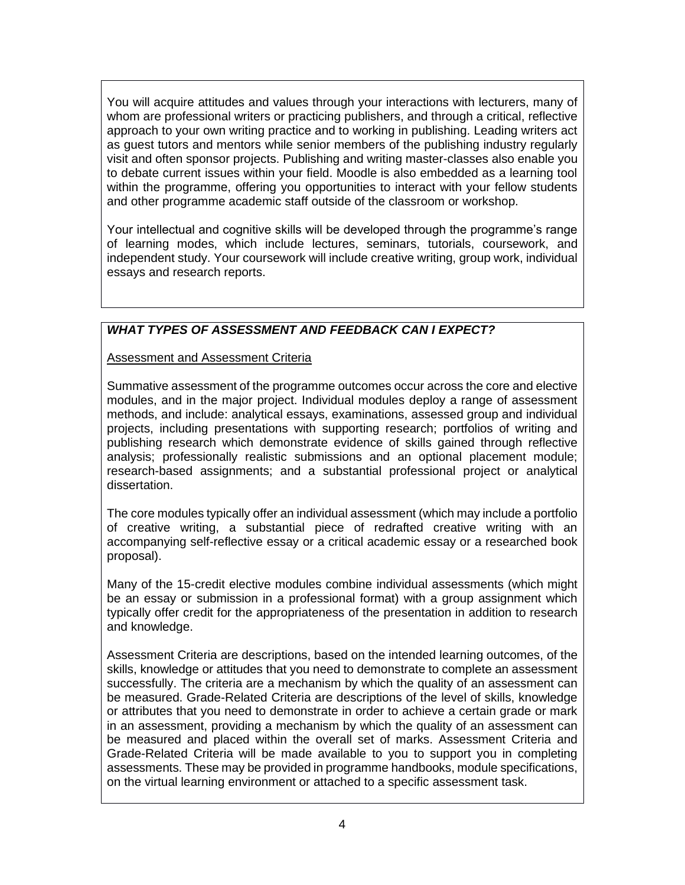You will acquire attitudes and values through your interactions with lecturers, many of whom are professional writers or practicing publishers, and through a critical, reflective approach to your own writing practice and to working in publishing. Leading writers act as guest tutors and mentors while senior members of the publishing industry regularly visit and often sponsor projects. Publishing and writing master-classes also enable you to debate current issues within your field. Moodle is also embedded as a learning tool within the programme, offering you opportunities to interact with your fellow students and other programme academic staff outside of the classroom or workshop.

Your intellectual and cognitive skills will be developed through the programme's range of learning modes, which include lectures, seminars, tutorials, coursework, and independent study. Your coursework will include creative writing, group work, individual essays and research reports.

# *WHAT TYPES OF ASSESSMENT AND FEEDBACK CAN I EXPECT?*

Assessment and Assessment Criteria

Summative assessment of the programme outcomes occur across the core and elective modules, and in the major project. Individual modules deploy a range of assessment methods, and include: analytical essays, examinations, assessed group and individual projects, including presentations with supporting research; portfolios of writing and publishing research which demonstrate evidence of skills gained through reflective analysis; professionally realistic submissions and an optional placement module; research-based assignments; and a substantial professional project or analytical dissertation.

The core modules typically offer an individual assessment (which may include a portfolio of creative writing, a substantial piece of redrafted creative writing with an accompanying self-reflective essay or a critical academic essay or a researched book proposal).

Many of the 15-credit elective modules combine individual assessments (which might be an essay or submission in a professional format) with a group assignment which typically offer credit for the appropriateness of the presentation in addition to research and knowledge.

Assessment Criteria are descriptions, based on the intended learning outcomes, of the skills, knowledge or attitudes that you need to demonstrate to complete an assessment successfully. The criteria are a mechanism by which the quality of an assessment can be measured. Grade-Related Criteria are descriptions of the level of skills, knowledge or attributes that you need to demonstrate in order to achieve a certain grade or mark in an assessment, providing a mechanism by which the quality of an assessment can be measured and placed within the overall set of marks. Assessment Criteria and Grade-Related Criteria will be made available to you to support you in completing assessments. These may be provided in programme handbooks, module specifications, on the virtual learning environment or attached to a specific assessment task.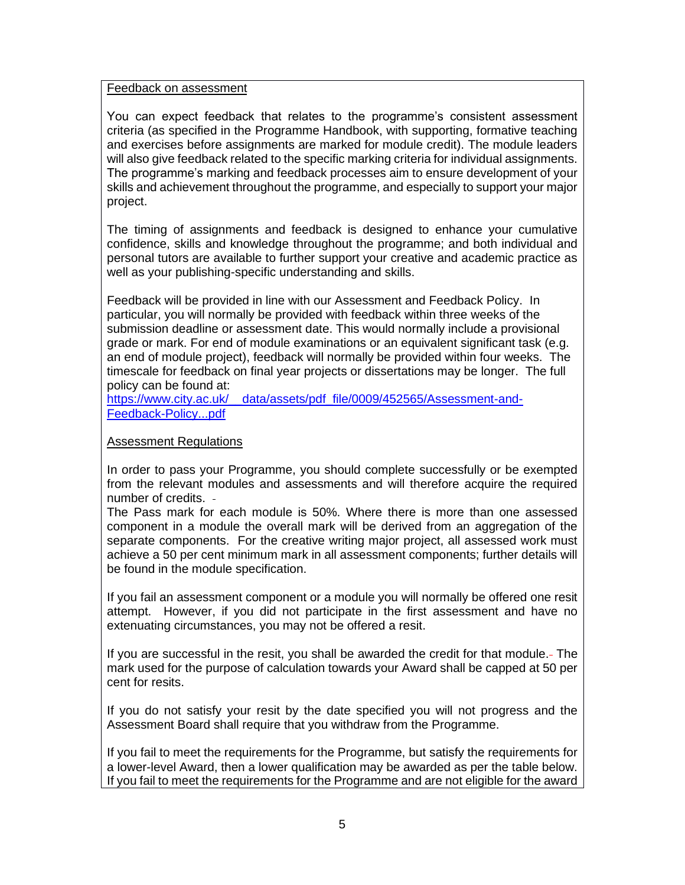#### Feedback on assessment

You can expect feedback that relates to the programme's consistent assessment criteria (as specified in the Programme Handbook, with supporting, formative teaching and exercises before assignments are marked for module credit). The module leaders will also give feedback related to the specific marking criteria for individual assignments. The programme's marking and feedback processes aim to ensure development of your skills and achievement throughout the programme, and especially to support your major project.

The timing of assignments and feedback is designed to enhance your cumulative confidence, skills and knowledge throughout the programme; and both individual and personal tutors are available to further support your creative and academic practice as well as your publishing-specific understanding and skills.

Feedback will be provided in line with our Assessment and Feedback Policy. In particular, you will normally be provided with feedback within three weeks of the submission deadline or assessment date. This would normally include a provisional grade or mark. For end of module examinations or an equivalent significant task (e.g. an end of module project), feedback will normally be provided within four weeks. The timescale for feedback on final year projects or dissertations may be longer. The full policy can be found at:

https://www.city.ac.uk/ data/assets/pdf\_file/0009/452565/Assessment-and-[Feedback-Policy...pdf](https://www.city.ac.uk/__data/assets/pdf_file/0009/452565/Assessment-and-Feedback-Policy...pdf)

### Assessment Regulations

In order to pass your Programme, you should complete successfully or be exempted from the relevant modules and assessments and will therefore acquire the required number of credits.

The Pass mark for each module is 50%. Where there is more than one assessed component in a module the overall mark will be derived from an aggregation of the separate components. For the creative writing major project, all assessed work must achieve a 50 per cent minimum mark in all assessment components; further details will be found in the module specification.

If you fail an assessment component or a module you will normally be offered one resit attempt. However, if you did not participate in the first assessment and have no extenuating circumstances, you may not be offered a resit.

If you are successful in the resit, you shall be awarded the credit for that module. The mark used for the purpose of calculation towards your Award shall be capped at 50 per cent for resits.

If you do not satisfy your resit by the date specified you will not progress and the Assessment Board shall require that you withdraw from the Programme.

If you fail to meet the requirements for the Programme, but satisfy the requirements for a lower-level Award, then a lower qualification may be awarded as per the table below. If you fail to meet the requirements for the Programme and are not eligible for the award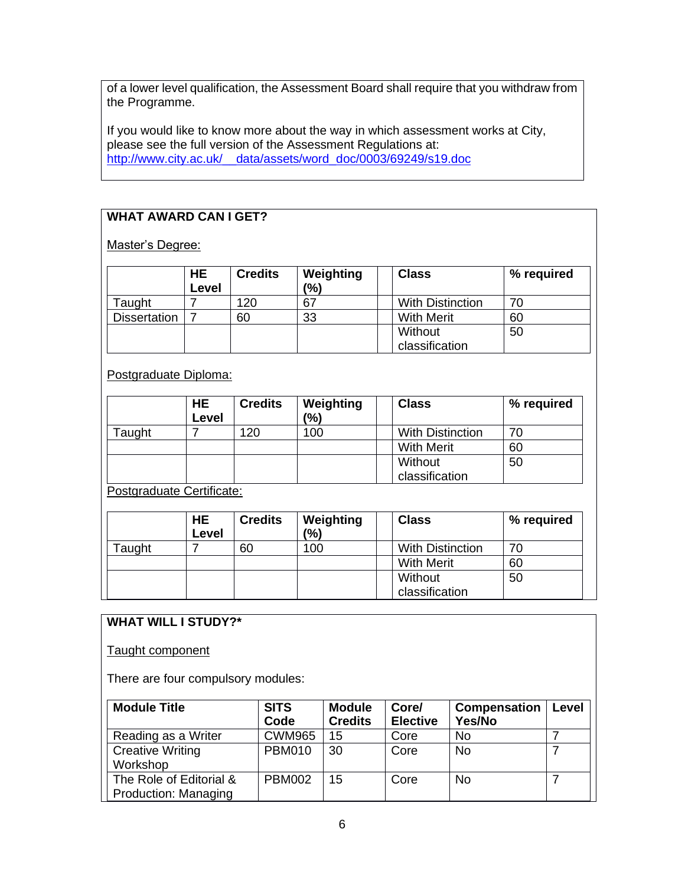of a lower level qualification, the Assessment Board shall require that you withdraw from the Programme.

If you would like to know more about the way in which assessment works at City, please see the full version of the Assessment Regulations at: [http://www.city.ac.uk/\\_\\_data/assets/word\\_doc/0003/69249/s19.doc](http://www.city.ac.uk/__data/assets/word_doc/0003/69249/s19.doc)

# **WHAT AWARD CAN I GET?**

Master's Degree:

|                     | <b>HE</b><br>Level | <b>Credits</b> | Weighting<br>(%) | <b>Class</b>            | % required |
|---------------------|--------------------|----------------|------------------|-------------------------|------------|
| Taught              |                    | 120            | -67              | <b>With Distinction</b> | 70         |
| <b>Dissertation</b> |                    | 60             | 33               | <b>With Merit</b>       | 60         |
|                     |                    |                |                  | Without                 | 50         |
|                     |                    |                |                  | classification          |            |

Postgraduate Diploma:

|        | <b>HE</b><br>Level | <b>Credits</b> | Weighting<br>(%) | <b>Class</b>              | % required |
|--------|--------------------|----------------|------------------|---------------------------|------------|
| Taught |                    | 120            | 100              | <b>With Distinction</b>   | 70         |
|        |                    |                |                  | <b>With Merit</b>         | 60         |
|        |                    |                |                  | Without<br>classification | 50         |

Postgraduate Certificate:

|               | HE.<br>Level | <b>Credits</b> | Weighting<br>(%) | <b>Class</b>      |                         | % required |
|---------------|--------------|----------------|------------------|-------------------|-------------------------|------------|
| <b>Taught</b> |              | 60             | 100              |                   | <b>With Distinction</b> | 70         |
|               |              |                |                  | <b>With Merit</b> |                         | 60         |
|               |              |                |                  | Without           |                         | 50         |
|               |              |                |                  | classification    |                         |            |

# **WHAT WILL I STUDY?\***

Taught component

There are four compulsory modules:

| <b>Module Title</b>         | <b>SITS</b>   | <b>Module</b>  | Core/           | <b>Compensation</b> | Level |
|-----------------------------|---------------|----------------|-----------------|---------------------|-------|
|                             | Code          | <b>Credits</b> | <b>Elective</b> | Yes/No              |       |
| Reading as a Writer         | <b>CWM965</b> | 15             | Core            | No                  |       |
| <b>Creative Writing</b>     | <b>PBM010</b> | 30             | Core            | <b>No</b>           |       |
| Workshop                    |               |                |                 |                     |       |
| The Role of Editorial &     | <b>PBM002</b> | 15             | Core            | <b>No</b>           |       |
| <b>Production: Managing</b> |               |                |                 |                     |       |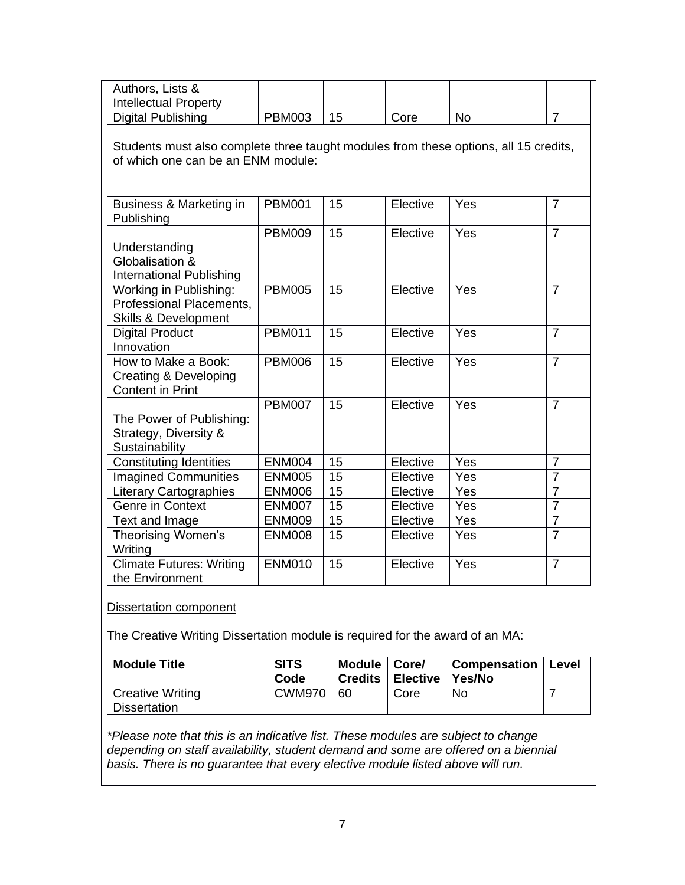| Authors, Lists &                                                                                                           |               |    |          |           |                |
|----------------------------------------------------------------------------------------------------------------------------|---------------|----|----------|-----------|----------------|
| <b>Intellectual Property</b>                                                                                               |               |    |          |           |                |
| <b>Digital Publishing</b>                                                                                                  | <b>PBM003</b> | 15 | Core     | <b>No</b> | $\overline{7}$ |
| Students must also complete three taught modules from these options, all 15 credits,<br>of which one can be an ENM module: |               |    |          |           |                |
| Business & Marketing in<br>Publishing                                                                                      | <b>PBM001</b> | 15 | Elective | Yes       | $\overline{7}$ |
|                                                                                                                            | <b>PBM009</b> | 15 | Elective | Yes       | $\overline{7}$ |
| Understanding<br>Globalisation &<br>International Publishing                                                               |               |    |          |           |                |
| Working in Publishing:<br>Professional Placements,<br><b>Skills &amp; Development</b>                                      | <b>PBM005</b> | 15 | Elective | Yes       | $\overline{7}$ |
| <b>Digital Product</b><br>Innovation                                                                                       | <b>PBM011</b> | 15 | Elective | Yes       | $\overline{7}$ |
| How to Make a Book:<br><b>Creating &amp; Developing</b><br><b>Content in Print</b>                                         | <b>PBM006</b> | 15 | Elective | Yes       | $\overline{7}$ |
| The Power of Publishing:<br>Strategy, Diversity &<br>Sustainability                                                        | <b>PBM007</b> | 15 | Elective | Yes       | $\overline{7}$ |
| <b>Constituting Identities</b>                                                                                             | <b>ENM004</b> | 15 | Elective | Yes       | $\overline{7}$ |
| <b>Imagined Communities</b>                                                                                                | <b>ENM005</b> | 15 | Elective | Yes       | $\overline{7}$ |
| <b>Literary Cartographies</b>                                                                                              | <b>ENM006</b> | 15 | Elective | Yes       | $\overline{7}$ |
| Genre in Context                                                                                                           | <b>ENM007</b> | 15 | Elective | Yes       | $\overline{7}$ |
| Text and Image                                                                                                             | <b>ENM009</b> | 15 | Elective | Yes       | $\overline{7}$ |
| Theorising Women's<br>Writing                                                                                              | <b>ENM008</b> | 15 | Elective | Yes       | $\overline{7}$ |
| <b>Climate Futures: Writing</b><br>the Environment                                                                         | <b>ENM010</b> | 15 | Elective | Yes       | $\overline{7}$ |

#### Dissertation component

The Creative Writing Dissertation module is required for the award of an MA:

| <b>Module Title</b>              | <b>SITS</b><br>Code | Module   Core/<br><b>Credits</b> | Elective I | Compensation   Level<br>Yes/No |  |
|----------------------------------|---------------------|----------------------------------|------------|--------------------------------|--|
| Creative Writing<br>Dissertation | <b>CWM970</b>       | <u> 1 60 </u>                    | Core       | No.                            |  |

*\*Please note that this is an indicative list. These modules are subject to change depending on staff availability, student demand and some are offered on a biennial basis. There is no guarantee that every elective module listed above will run.*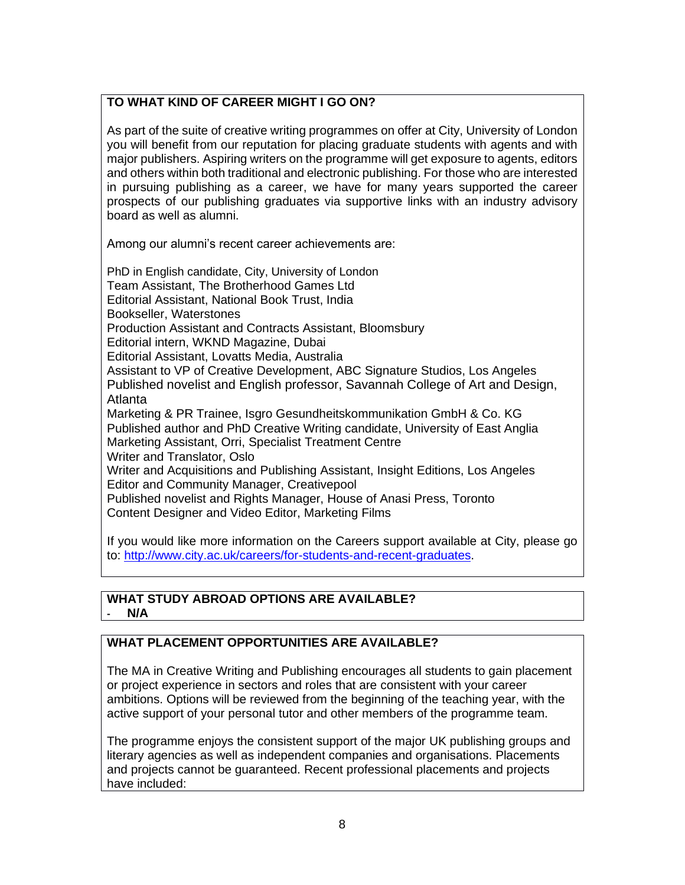# **TO WHAT KIND OF CAREER MIGHT I GO ON?**

As part of the suite of creative writing programmes on offer at City, University of London you will benefit from our reputation for placing graduate students with agents and with major publishers. Aspiring writers on the programme will get exposure to agents, editors and others within both traditional and electronic publishing. For those who are interested in pursuing publishing as a career, we have for many years supported the career prospects of our publishing graduates via supportive links with an industry advisory board as well as alumni.

Among our alumni's recent career achievements are:

PhD in English candidate, City, University of London Team Assistant, The Brotherhood Games Ltd Editorial Assistant, National Book Trust, India Bookseller, Waterstones Production Assistant and Contracts Assistant, Bloomsbury Editorial intern, WKND Magazine, Dubai Editorial Assistant, Lovatts Media, Australia Assistant to VP of Creative Development, ABC Signature Studios, Los Angeles Published novelist and English professor, Savannah College of Art and Design, Atlanta Marketing & PR Trainee, Isgro Gesundheitskommunikation GmbH & Co. KG Published author and PhD Creative Writing candidate, University of East Anglia Marketing Assistant, Orri, Specialist Treatment Centre Writer and Translator, Oslo Writer and Acquisitions and Publishing Assistant, Insight Editions, Los Angeles Editor and Community Manager, Creativepool Published novelist and Rights Manager, House of Anasi Press, Toronto Content Designer and Video Editor, Marketing Films

If you would like more information on the Careers support available at City, please go to: [http://www.city.ac.uk/careers/for-students-and-recent-graduates.](http://www.city.ac.uk/careers/for-students-and-recent-graduates)

### **WHAT STUDY ABROAD OPTIONS ARE AVAILABLE? - N/A**

# **WHAT PLACEMENT OPPORTUNITIES ARE AVAILABLE?**

The MA in Creative Writing and Publishing encourages all students to gain placement or project experience in sectors and roles that are consistent with your career ambitions. Options will be reviewed from the beginning of the teaching year, with the active support of your personal tutor and other members of the programme team.

The programme enjoys the consistent support of the major UK publishing groups and literary agencies as well as independent companies and organisations. Placements and projects cannot be guaranteed. Recent professional placements and projects have included: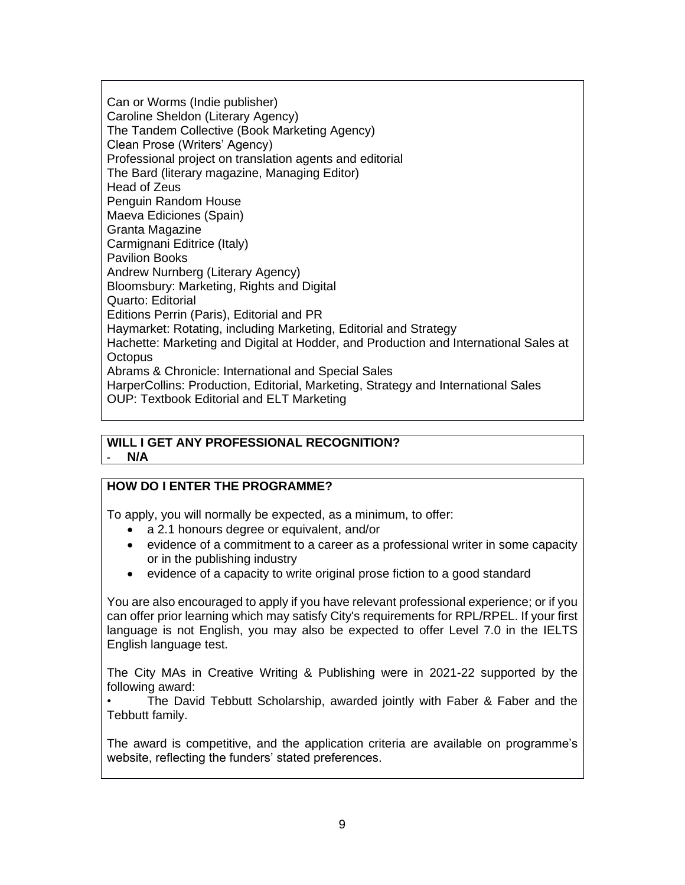Can or Worms (Indie publisher) Caroline Sheldon (Literary Agency) The Tandem Collective (Book Marketing Agency) Clean Prose (Writers' Agency) Professional project on translation agents and editorial The Bard (literary magazine, Managing Editor) Head of Zeus Penguin Random House Maeva Ediciones (Spain) Granta Magazine Carmignani Editrice (Italy) Pavilion Books Andrew Nurnberg (Literary Agency) Bloomsbury: Marketing, Rights and Digital Quarto: Editorial Editions Perrin (Paris), Editorial and PR Haymarket: Rotating, including Marketing, Editorial and Strategy Hachette: Marketing and Digital at Hodder, and Production and International Sales at **Octopus** Abrams & Chronicle: International and Special Sales HarperCollins: Production, Editorial, Marketing, Strategy and International Sales OUP: Textbook Editorial and ELT Marketing

#### **WILL I GET ANY PROFESSIONAL RECOGNITION? - N/A**

# **HOW DO I ENTER THE PROGRAMME?**

To apply, you will normally be expected, as a minimum, to offer:

- a 2.1 honours degree or equivalent, and/or
- evidence of a commitment to a career as a professional writer in some capacity or in the publishing industry
- evidence of a capacity to write original prose fiction to a good standard

You are also encouraged to apply if you have relevant professional experience; or if you can offer prior learning which may satisfy City's requirements for RPL/RPEL. If your first language is not English, you may also be expected to offer Level 7.0 in the IELTS English language test.

The City MAs in Creative Writing & Publishing were in 2021-22 supported by the following award:

The David Tebbutt Scholarship, awarded jointly with Faber & Faber and the Tebbutt family.

The award is competitive, and the application criteria are available on programme's website, reflecting the funders' stated preferences.